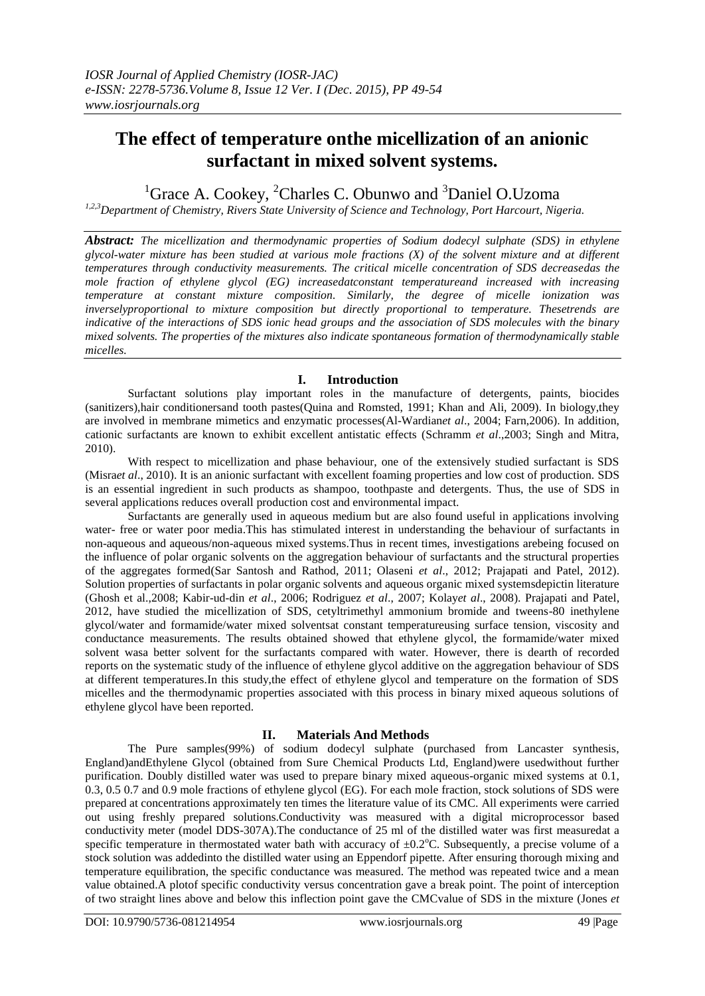# **The effect of temperature onthe micellization of an anionic surfactant in mixed solvent systems.**

<sup>1</sup>Grace A. Cookey, <sup>2</sup>Charles C. Obunwo and <sup>3</sup>Daniel O.Uzoma

*1,2,3Department of Chemistry, Rivers State University of Science and Technology, Port Harcourt, Nigeria.*

*Abstract: The micellization and thermodynamic properties of Sodium dodecyl sulphate (SDS) in ethylene glycol-water mixture has been studied at various mole fractions (X) of the solvent mixture and at different temperatures through conductivity measurements. The critical micelle concentration of SDS decreasedas the mole fraction of ethylene glycol (EG) increasedatconstant temperatureand increased with increasing temperature at constant mixture composition. Similarly, the degree of micelle ionization was inverselyproportional to mixture composition but directly proportional to temperature. Thesetrends are indicative of the interactions of SDS ionic head groups and the association of SDS molecules with the binary mixed solvents. The properties of the mixtures also indicate spontaneous formation of thermodynamically stable micelles.* 

## **I. Introduction**

Surfactant solutions play important roles in the manufacture of detergents, paints, biocides (sanitizers),hair conditionersand tooth pastes(Quina and Romsted, 1991; Khan and Ali, 2009). In biology,they are involved in membrane mimetics and enzymatic processes(Al-Wardian*et al*., 2004; Farn,2006). In addition, cationic surfactants are known to exhibit excellent antistatic effects (Schramm *et al*.,2003; Singh and Mitra, 2010).

With respect to micellization and phase behaviour, one of the extensively studied surfactant is SDS (Misra*et al*., 2010). It is an anionic surfactant with excellent foaming properties and low cost of production. SDS is an essential ingredient in such products as shampoo, toothpaste and detergents. Thus, the use of SDS in several applications reduces overall production cost and environmental impact.

Surfactants are generally used in aqueous medium but are also found useful in applications involving water- free or water poor media.This has stimulated interest in understanding the behaviour of surfactants in non-aqueous and aqueous/non-aqueous mixed systems.Thus in recent times, investigations arebeing focused on the influence of polar organic solvents on the aggregation behaviour of surfactants and the structural properties of the aggregates formed(Sar Santosh and Rathod, 2011; Olaseni *et al*., 2012; Prajapati and Patel, 2012). Solution properties of surfactants in polar organic solvents and aqueous organic mixed systemsdepictin literature (Ghosh et al.,2008; Kabir-ud-din *et al*., 2006; Rodriguez *et al*., 2007; Kolay*et al*., 2008). Prajapati and Patel, 2012, have studied the micellization of SDS, cetyltrimethyl ammonium bromide and tweens-80 inethylene glycol/water and formamide/water mixed solventsat constant temperatureusing surface tension, viscosity and conductance measurements. The results obtained showed that ethylene glycol, the formamide/water mixed solvent wasa better solvent for the surfactants compared with water. However, there is dearth of recorded reports on the systematic study of the influence of ethylene glycol additive on the aggregation behaviour of SDS at different temperatures.In this study,the effect of ethylene glycol and temperature on the formation of SDS micelles and the thermodynamic properties associated with this process in binary mixed aqueous solutions of ethylene glycol have been reported.

# **II. Materials And Methods**

The Pure samples(99%) of sodium dodecyl sulphate (purchased from Lancaster synthesis, England)andEthylene Glycol (obtained from Sure Chemical Products Ltd, England)were usedwithout further purification. Doubly distilled water was used to prepare binary mixed aqueous-organic mixed systems at 0.1, 0.3, 0.5 0.7 and 0.9 mole fractions of ethylene glycol (EG). For each mole fraction, stock solutions of SDS were prepared at concentrations approximately ten times the literature value of its CMC. All experiments were carried out using freshly prepared solutions.Conductivity was measured with a digital microprocessor based conductivity meter (model DDS-307A).The conductance of 25 ml of the distilled water was first measuredat a specific temperature in thermostated water bath with accuracy of  $\pm 0.2^{\circ}$ C. Subsequently, a precise volume of a stock solution was addedinto the distilled water using an Eppendorf pipette. After ensuring thorough mixing and temperature equilibration, the specific conductance was measured. The method was repeated twice and a mean value obtained.A plotof specific conductivity versus concentration gave a break point. The point of interception of two straight lines above and below this inflection point gave the CMCvalue of SDS in the mixture (Jones *et*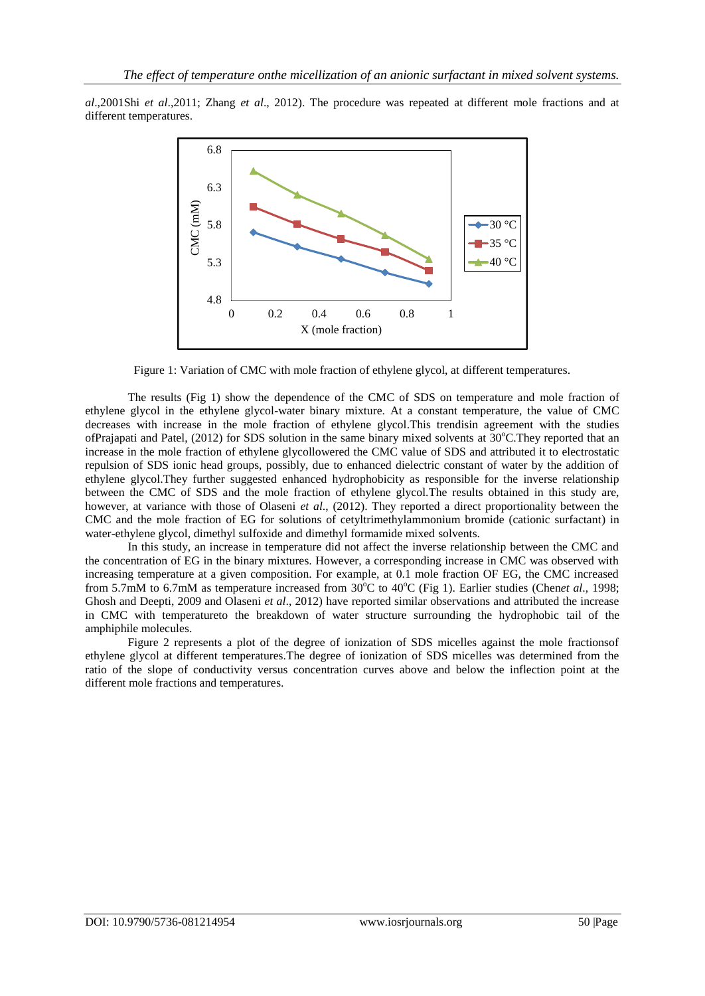*al*.,2001Shi *et al*.,2011; Zhang *et al*., 2012). The procedure was repeated at different mole fractions and at different temperatures.



Figure 1: Variation of CMC with mole fraction of ethylene glycol, at different temperatures.

The results (Fig 1) show the dependence of the CMC of SDS on temperature and mole fraction of ethylene glycol in the ethylene glycol-water binary mixture. At a constant temperature, the value of CMC decreases with increase in the mole fraction of ethylene glycol.This trendisin agreement with the studies ofPraiapati and Patel, (2012) for SDS solution in the same binary mixed solvents at  $30^{\circ}$ C.They reported that an increase in the mole fraction of ethylene glycollowered the CMC value of SDS and attributed it to electrostatic repulsion of SDS ionic head groups, possibly, due to enhanced dielectric constant of water by the addition of ethylene glycol.They further suggested enhanced hydrophobicity as responsible for the inverse relationship between the CMC of SDS and the mole fraction of ethylene glycol.The results obtained in this study are, however, at variance with those of Olaseni *et al*., (2012). They reported a direct proportionality between the CMC and the mole fraction of EG for solutions of cetyltrimethylammonium bromide (cationic surfactant) in water-ethylene glycol, dimethyl sulfoxide and dimethyl formamide mixed solvents.

In this study, an increase in temperature did not affect the inverse relationship between the CMC and the concentration of EG in the binary mixtures. However, a corresponding increase in CMC was observed with increasing temperature at a given composition. For example, at 0.1 mole fraction OF EG, the CMC increased from 5.7mM to 6.7mM as temperature increased from 30°C to 40°C (Fig 1). Earlier studies (Chen*et al.*, 1998; Ghosh and Deepti, 2009 and Olaseni *et al*., 2012) have reported similar observations and attributed the increase in CMC with temperatureto the breakdown of water structure surrounding the hydrophobic tail of the amphiphile molecules.

Figure 2 represents a plot of the degree of ionization of SDS micelles against the mole fractionsof ethylene glycol at different temperatures.The degree of ionization of SDS micelles was determined from the ratio of the slope of conductivity versus concentration curves above and below the inflection point at the different mole fractions and temperatures.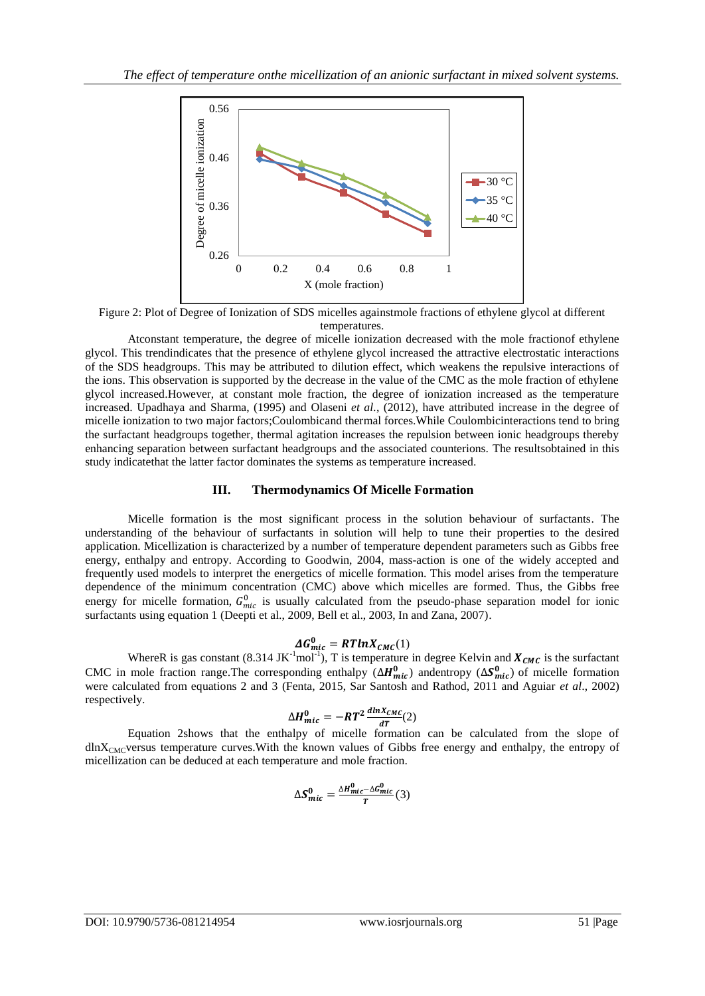

Figure 2: Plot of Degree of Ionization of SDS micelles againstmole fractions of ethylene glycol at different temperatures.

Atconstant temperature, the degree of micelle ionization decreased with the mole fractionof ethylene glycol. This trendindicates that the presence of ethylene glycol increased the attractive electrostatic interactions of the SDS headgroups. This may be attributed to dilution effect, which weakens the repulsive interactions of the ions. This observation is supported by the decrease in the value of the CMC as the mole fraction of ethylene glycol increased.However, at constant mole fraction, the degree of ionization increased as the temperature increased. Upadhaya and Sharma, (1995) and Olaseni *et al.*, (2012), have attributed increase in the degree of micelle ionization to two major factors;Coulombicand thermal forces.While Coulombicinteractions tend to bring the surfactant headgroups together, thermal agitation increases the repulsion between ionic headgroups thereby enhancing separation between surfactant headgroups and the associated counterions. The resultsobtained in this study indicatethat the latter factor dominates the systems as temperature increased.

## **III. Thermodynamics Of Micelle Formation**

Micelle formation is the most significant process in the solution behaviour of surfactants. The understanding of the behaviour of surfactants in solution will help to tune their properties to the desired application. Micellization is characterized by a number of temperature dependent parameters such as Gibbs free energy, enthalpy and entropy. According to Goodwin, 2004, mass-action is one of the widely accepted and frequently used models to interpret the energetics of micelle formation. This model arises from the temperature dependence of the minimum concentration (CMC) above which micelles are formed. Thus, the Gibbs free energy for micelle formation,  $G_{mic}^0$  is usually calculated from the pseudo-phase separation model for ionic surfactants using equation 1 (Deepti et al., 2009, Bell et al., 2003, In and Zana, 2007).

$$
\Delta G_{mic}^0 = RTlnX_{CMC}(1)
$$

WhereR is gas constant (8.314 JK<sup>-1</sup>mol<sup>-1</sup>), T is temperature in degree Kelvin and  $X_{CMC}$  is the surfactant CMC in mole fraction range.The corresponding enthalpy ( $\Delta H_{mic}^0$ ) andentropy ( $\Delta S_{mic}^0$ ) of micelle formation were calculated from equations 2 and 3 (Fenta, 2015, Sar Santosh and Rathod, 2011 and Aguiar *et al*., 2002) respectively.

$$
\Delta H_{mic}^0 = -RT^2 \frac{dlnX_{CMC}}{dT}(2)
$$

Equation 2shows that the enthalpy of micelle formation can be calculated from the slope of dlnX<sub>CMC</sub>versus temperature curves.With the known values of Gibbs free energy and enthalpy, the entropy of micellization can be deduced at each temperature and mole fraction.

$$
\Delta S_{mic}^0 = \frac{\Delta H_{mic}^0 - \Delta G_{mic}^0}{T} (3)
$$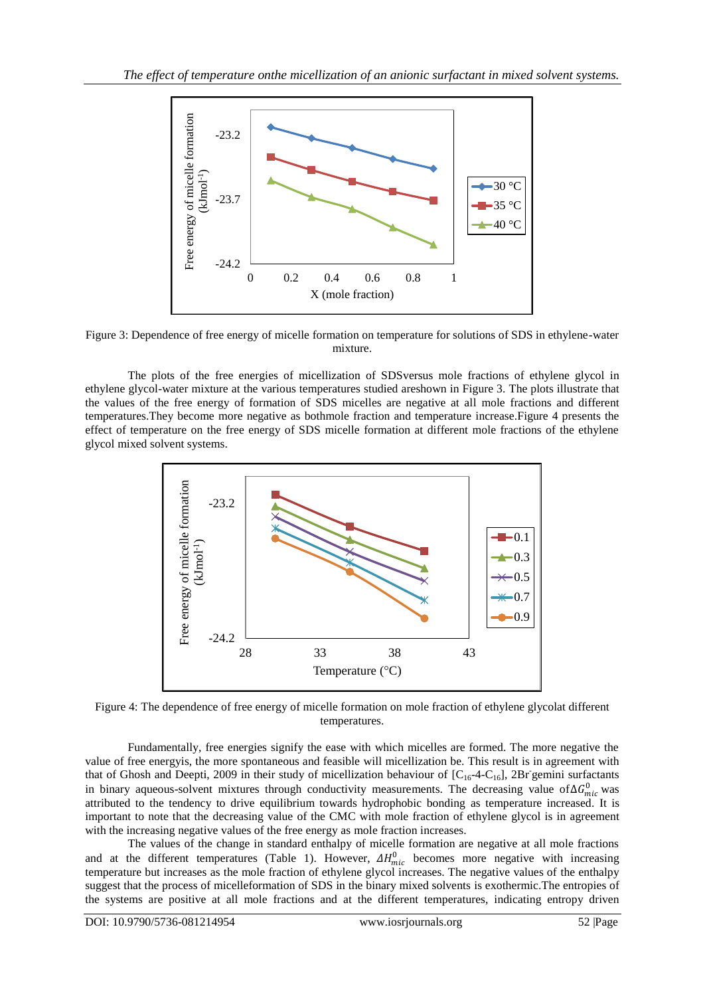

Figure 3: Dependence of free energy of micelle formation on temperature for solutions of SDS in ethylene-water mixture.

The plots of the free energies of micellization of SDSversus mole fractions of ethylene glycol in ethylene glycol-water mixture at the various temperatures studied areshown in Figure 3. The plots illustrate that the values of the free energy of formation of SDS micelles are negative at all mole fractions and different temperatures.They become more negative as bothmole fraction and temperature increase.Figure 4 presents the effect of temperature on the free energy of SDS micelle formation at different mole fractions of the ethylene glycol mixed solvent systems.



Figure 4: The dependence of free energy of micelle formation on mole fraction of ethylene glycolat different temperatures.

Fundamentally, free energies signify the ease with which micelles are formed. The more negative the value of free energyis, the more spontaneous and feasible will micellization be. This result is in agreement with that of Ghosh and Deepti, 2009 in their study of micellization behaviour of  $[C_{16}$ -4-C<sub>16</sub>], 2Br gemini surfactants in binary aqueous-solvent mixtures through conductivity measurements. The decreasing value of  $\Delta G_{mic}^0$  was attributed to the tendency to drive equilibrium towards hydrophobic bonding as temperature increased. It is important to note that the decreasing value of the CMC with mole fraction of ethylene glycol is in agreement with the increasing negative values of the free energy as mole fraction increases.

The values of the change in standard enthalpy of micelle formation are negative at all mole fractions and at the different temperatures (Table 1). However,  $\Delta H_{mic}^0$  becomes more negative with increasing temperature but increases as the mole fraction of ethylene glycol increases. The negative values of the enthalpy suggest that the process of micelleformation of SDS in the binary mixed solvents is exothermic.The entropies of the systems are positive at all mole fractions and at the different temperatures, indicating entropy driven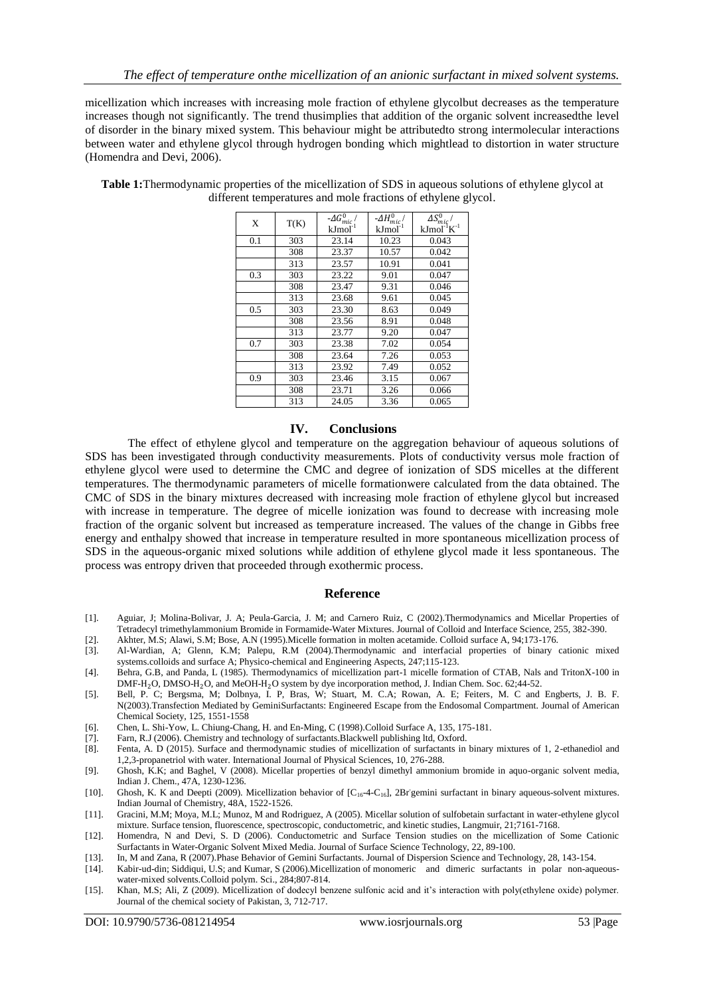micellization which increases with increasing mole fraction of ethylene glycolbut decreases as the temperature increases though not significantly. The trend thusimplies that addition of the organic solvent increasedthe level of disorder in the binary mixed system. This behaviour might be attributedto strong intermolecular interactions between water and ethylene glycol through hydrogen bonding which mightlead to distortion in water structure (Homendra and Devi, 2006).

| X   | T(K) | - $\varDelta G_{mic}^{0}/$<br>$kJmol^{-1}$ | $- \Delta H_{mic}^0$<br>$kJmol^{-1}$ | $\Delta S_{mic}^0/$<br>$kJmol^{-1}K^{-1}$ |
|-----|------|--------------------------------------------|--------------------------------------|-------------------------------------------|
| 0.1 | 303  | 23.14                                      | 10.23                                | 0.043                                     |
|     | 308  | 23.37                                      | 10.57                                | 0.042                                     |
|     | 313  | 23.57                                      | 10.91                                | 0.041                                     |
| 0.3 | 303  | 23.22                                      | 9.01                                 | 0.047                                     |
|     | 308  | 23.47                                      | 9.31                                 | 0.046                                     |
|     | 313  | 23.68                                      | 9.61                                 | 0.045                                     |
| 0.5 | 303  | 23.30                                      | 8.63                                 | 0.049                                     |
|     | 308  | 23.56                                      | 8.91                                 | 0.048                                     |
|     | 313  | 23.77                                      | 9.20                                 | 0.047                                     |
| 0.7 | 303  | 23.38                                      | 7.02                                 | 0.054                                     |
|     | 308  | 23.64                                      | 7.26                                 | 0.053                                     |
|     | 313  | 23.92                                      | 7.49                                 | 0.052                                     |
| 0.9 | 303  | 23.46                                      | 3.15                                 | 0.067                                     |
|     | 308  | 23.71                                      | 3.26                                 | 0.066                                     |
|     | 313  | 24.05                                      | 3.36                                 | 0.065                                     |

**Table 1:**Thermodynamic properties of the micellization of SDS in aqueous solutions of ethylene glycol at different temperatures and mole fractions of ethylene glycol.

#### **IV. Conclusions**

The effect of ethylene glycol and temperature on the aggregation behaviour of aqueous solutions of SDS has been investigated through conductivity measurements. Plots of conductivity versus mole fraction of ethylene glycol were used to determine the CMC and degree of ionization of SDS micelles at the different temperatures. The thermodynamic parameters of micelle formationwere calculated from the data obtained. The CMC of SDS in the binary mixtures decreased with increasing mole fraction of ethylene glycol but increased with increase in temperature. The degree of micelle ionization was found to decrease with increasing mole fraction of the organic solvent but increased as temperature increased. The values of the change in Gibbs free energy and enthalpy showed that increase in temperature resulted in more spontaneous micellization process of SDS in the aqueous-organic mixed solutions while addition of ethylene glycol made it less spontaneous. The process was entropy driven that proceeded through exothermic process.

### **Reference**

- [1]. Aguiar, J; Molina-Bolivar, J. A; Peula-Garcia, J. M; and Carnero Ruiz, C (2002).Thermodynamics and Micellar Properties of Tetradecyl trimethylammonium Bromide in Formamide-Water Mixtures. Journal of Colloid and Interface Science, 255, 382-390.
- [2]. Akhter, M.S; Alawi, S.M; Bose, A.N (1995).Micelle formation in molten acetamide. Colloid surface A, 94;173-176.
- [3]. Al-Wardian, A; Glenn, K.M; Palepu, R.M (2004).Thermodynamic and interfacial properties of binary cationic mixed systems.colloids and surface A; Physico-chemical and Engineering Aspects, 247;115-123.
- [4]. Behra, G.B, and Panda, L (1985). Thermodynamics of micellization part-1 micelle formation of CTAB, Nals and TritonX-100 in DMF-H<sub>2</sub>O, DMSO-H<sub>2</sub>O, and MeOH-H<sub>2</sub>O system by dye incorporation method, J. Indian Chem. Soc. 62;44-52.
- [5]. Bell, P. C; Bergsma, M; Dolbnya, I. P, Bras, W; Stuart, M. C.A; Rowan, A. E; Feiters, M. C and Engberts, J. B. F. N(2003).Transfection Mediated by GeminiSurfactants: Engineered Escape from the Endosomal Compartment. Journal of American Chemical Society, 125, 1551-1558
- [6]. Chen, L. Shi-Yow, L. Chiung-Chang, H. and En-Ming, C (1998).Colloid Surface A, 135, 175-181.
- [7]. Farn, R.J (2006). Chemistry and technology of surfactants.Blackwell publishing ltd, Oxford.
- [8]. Fenta, A. D (2015). Surface and thermodynamic studies of micellization of surfactants in binary mixtures of 1, 2-ethanediol and 1,2,3-propanetriol with water. International Journal of Physical Sciences, 10, 276-288.
- [9]. Ghosh, K.K; and Baghel, V (2008). Micellar properties of benzyl dimethyl ammonium bromide in aquo-organic solvent media, Indian J. Chem., 47A, 1230-1236.
- [10]. Ghosh, K. K and Deepti (2009). Micellization behavior of [C<sub>16</sub>-4-C<sub>16</sub>], 2Br gemini surfactant in binary aqueous-solvent mixtures. Indian Journal of Chemistry, 48A, 1522-1526.
- [11]. Gracini, M.M; Moya, M.L; Munoz, M and Rodriguez, A (2005). Micellar solution of sulfobetain surfactant in water-ethylene glycol mixture. Surface tension, fluorescence, spectroscopic, conductometric, and kinetic studies, Langmuir, 21;7161-7168.
- [12]. Homendra, N and Devi, S. D (2006). Conductometric and Surface Tension studies on the micellization of Some Cationic Surfactants in Water-Organic Solvent Mixed Media. Journal of Surface Science Technology, 22, 89-100.
- [13]. In, M and Zana, R (2007).Phase Behavior of Gemini Surfactants. Journal of Dispersion Science and Technology, 28, 143-154.
- [14]. Kabir-ud-din; Siddiqui, U.S; and Kumar, S (2006).Micellization of monomeric and dimeric surfactants in polar non-aqueouswater-mixed solvents.Colloid polym. Sci., 284;807-814.
- [15]. Khan, M.S; Ali, Z (2009). Micellization of dodecyl benzene sulfonic acid and it's interaction with poly(ethylene oxide) polymer. Journal of the chemical society of Pakistan, 3, 712-717.